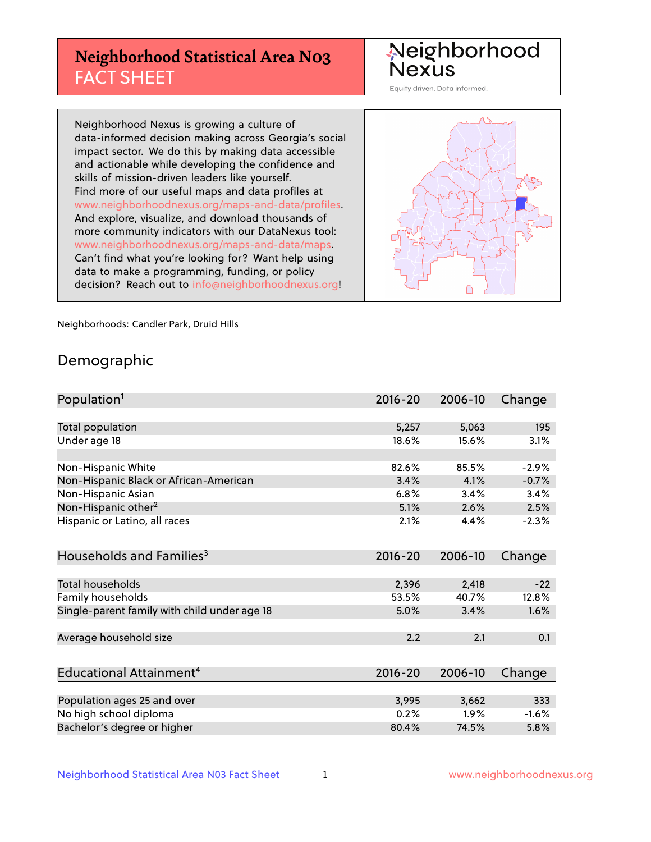# **Neighborhood Statistical Area N03** FACT SHEET

Neighborhood Nexus

Equity driven. Data informed.

Neighborhood Nexus is growing a culture of data-informed decision making across Georgia's social impact sector. We do this by making data accessible and actionable while developing the confidence and skills of mission-driven leaders like yourself. Find more of our useful maps and data profiles at www.neighborhoodnexus.org/maps-and-data/profiles. And explore, visualize, and download thousands of more community indicators with our DataNexus tool: www.neighborhoodnexus.org/maps-and-data/maps. Can't find what you're looking for? Want help using data to make a programming, funding, or policy decision? Reach out to [info@neighborhoodnexus.org!](mailto:info@neighborhoodnexus.org)



Neighborhoods: Candler Park, Druid Hills

### Demographic

| Population <sup>1</sup>                      | $2016 - 20$ | 2006-10 | Change  |
|----------------------------------------------|-------------|---------|---------|
|                                              |             |         |         |
| Total population                             | 5,257       | 5,063   | 195     |
| Under age 18                                 | 18.6%       | 15.6%   | 3.1%    |
| Non-Hispanic White                           | 82.6%       | 85.5%   | $-2.9%$ |
| Non-Hispanic Black or African-American       | 3.4%        | 4.1%    | $-0.7%$ |
| Non-Hispanic Asian                           | 6.8%        | 3.4%    | 3.4%    |
| Non-Hispanic other <sup>2</sup>              | 5.1%        | 2.6%    | 2.5%    |
| Hispanic or Latino, all races                | 2.1%        | 4.4%    | $-2.3%$ |
| Households and Families <sup>3</sup>         | $2016 - 20$ | 2006-10 | Change  |
|                                              |             |         |         |
| <b>Total households</b>                      | 2,396       | 2,418   | $-22$   |
| Family households                            | 53.5%       | 40.7%   | 12.8%   |
| Single-parent family with child under age 18 | 5.0%        | 3.4%    | 1.6%    |
| Average household size                       | 2.2         | 2.1     | 0.1     |
| Educational Attainment <sup>4</sup>          | $2016 - 20$ | 2006-10 |         |
|                                              |             |         | Change  |
| Population ages 25 and over                  | 3,995       | 3,662   | 333     |
| No high school diploma                       | 0.2%        | 1.9%    | $-1.6%$ |
| Bachelor's degree or higher                  | 80.4%       | 74.5%   | 5.8%    |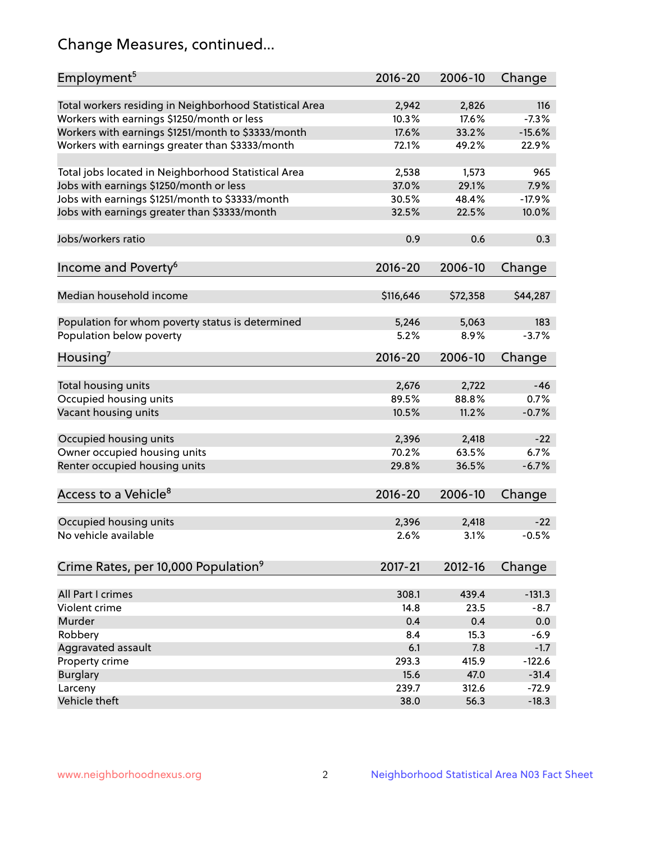# Change Measures, continued...

| Employment <sup>5</sup>                                                                               | $2016 - 20$    | 2006-10        | Change         |
|-------------------------------------------------------------------------------------------------------|----------------|----------------|----------------|
|                                                                                                       |                |                |                |
| Total workers residing in Neighborhood Statistical Area                                               | 2,942<br>10.3% | 2,826<br>17.6% | 116<br>$-7.3%$ |
| Workers with earnings \$1250/month or less                                                            | 17.6%          | 33.2%          | $-15.6%$       |
| Workers with earnings \$1251/month to \$3333/month<br>Workers with earnings greater than \$3333/month | 72.1%          | 49.2%          | 22.9%          |
|                                                                                                       |                |                |                |
| Total jobs located in Neighborhood Statistical Area                                                   | 2,538          | 1,573          | 965            |
| Jobs with earnings \$1250/month or less                                                               | 37.0%          | 29.1%          | 7.9%           |
| Jobs with earnings \$1251/month to \$3333/month                                                       | 30.5%          | 48.4%          | $-17.9%$       |
| Jobs with earnings greater than \$3333/month                                                          | 32.5%          | 22.5%          | 10.0%          |
|                                                                                                       |                |                |                |
| Jobs/workers ratio                                                                                    | 0.9            | 0.6            | 0.3            |
|                                                                                                       |                |                |                |
| Income and Poverty <sup>6</sup>                                                                       | 2016-20        | 2006-10        | Change         |
|                                                                                                       |                |                |                |
| Median household income                                                                               | \$116,646      | \$72,358       | \$44,287       |
|                                                                                                       |                |                |                |
| Population for whom poverty status is determined                                                      | 5,246          | 5,063          | 183            |
| Population below poverty                                                                              | 5.2%           | 8.9%           | $-3.7%$        |
|                                                                                                       |                |                |                |
| Housing <sup>7</sup>                                                                                  | $2016 - 20$    | 2006-10        | Change         |
|                                                                                                       |                |                |                |
| Total housing units                                                                                   | 2,676          | 2,722          | $-46$          |
| Occupied housing units                                                                                | 89.5%          | 88.8%          | 0.7%           |
| Vacant housing units                                                                                  | 10.5%          | 11.2%          | $-0.7%$        |
|                                                                                                       |                |                |                |
| Occupied housing units                                                                                | 2,396          | 2,418          | $-22$          |
| Owner occupied housing units                                                                          | 70.2%          | 63.5%          | 6.7%           |
| Renter occupied housing units                                                                         | 29.8%          | 36.5%          | $-6.7%$        |
|                                                                                                       |                |                |                |
| Access to a Vehicle <sup>8</sup>                                                                      | $2016 - 20$    | 2006-10        | Change         |
|                                                                                                       |                |                |                |
| Occupied housing units                                                                                | 2,396          | 2,418          | $-22$          |
| No vehicle available                                                                                  | 2.6%           | 3.1%           | $-0.5%$        |
|                                                                                                       |                |                |                |
| Crime Rates, per 10,000 Population <sup>9</sup>                                                       | 2017-21        | 2012-16        | Change         |
|                                                                                                       |                |                |                |
| All Part I crimes                                                                                     | 308.1          | 439.4          | $-131.3$       |
| Violent crime                                                                                         | 14.8           | 23.5           | $-8.7$         |
| Murder                                                                                                | 0.4            | 0.4            | 0.0            |
| Robbery                                                                                               | 8.4            | 15.3           | $-6.9$         |
| Aggravated assault                                                                                    | 6.1            | 7.8            | $-1.7$         |
| Property crime                                                                                        | 293.3          | 415.9          | $-122.6$       |
| <b>Burglary</b>                                                                                       | 15.6           | 47.0           | $-31.4$        |
| Larceny                                                                                               | 239.7          | 312.6          | $-72.9$        |
| Vehicle theft                                                                                         | 38.0           | 56.3           | $-18.3$        |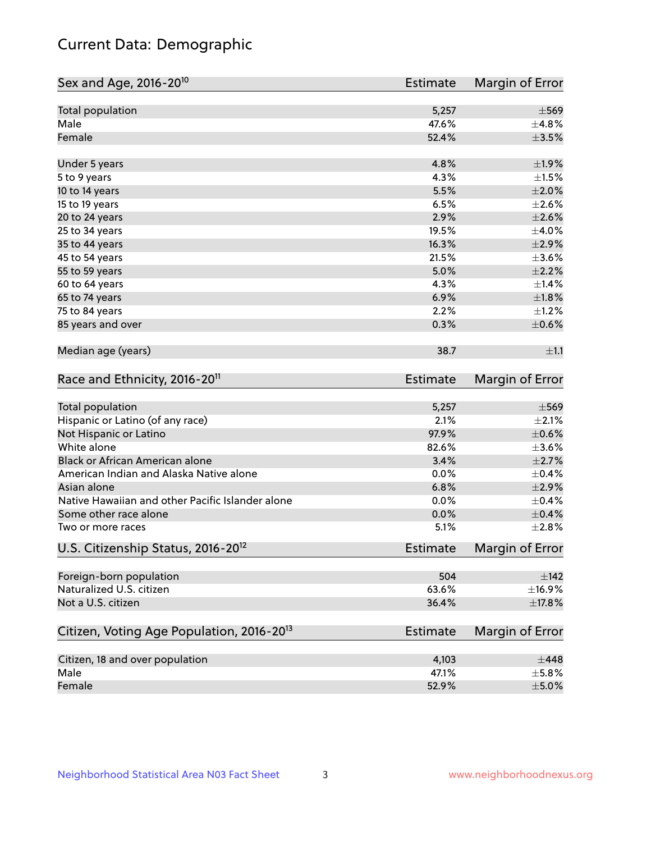# Current Data: Demographic

| Sex and Age, 2016-20 <sup>10</sup>                    | Estimate        | Margin of Error |
|-------------------------------------------------------|-----------------|-----------------|
| Total population                                      | 5,257           | $\pm$ 569       |
| Male                                                  | 47.6%           | ±4.8%           |
| Female                                                | 52.4%           | $\pm$ 3.5%      |
| Under 5 years                                         | 4.8%            | ±1.9%           |
| 5 to 9 years                                          | 4.3%            | $\pm 1.5\%$     |
| 10 to 14 years                                        | 5.5%            | $\pm 2.0\%$     |
| 15 to 19 years                                        | 6.5%            | $\pm 2.6\%$     |
| 20 to 24 years                                        | 2.9%            | $\pm 2.6\%$     |
| 25 to 34 years                                        | 19.5%           | $\pm$ 4.0%      |
| 35 to 44 years                                        | 16.3%           | $\pm 2.9\%$     |
| 45 to 54 years                                        | 21.5%           | $\pm 3.6\%$     |
| 55 to 59 years                                        | 5.0%            | $\pm 2.2\%$     |
| 60 to 64 years                                        | 4.3%            | $\pm$ 1.4%      |
| 65 to 74 years                                        | 6.9%            | $\pm1.8\%$      |
| 75 to 84 years                                        | 2.2%            | $\pm 1.2\%$     |
| 85 years and over                                     | 0.3%            | $\pm$ 0.6%      |
| Median age (years)                                    | 38.7            | ±1.1            |
| Race and Ethnicity, 2016-20 <sup>11</sup>             | <b>Estimate</b> | Margin of Error |
| Total population                                      | 5,257           | $\pm$ 569       |
| Hispanic or Latino (of any race)                      | 2.1%            | $\pm 2.1\%$     |
| Not Hispanic or Latino                                | 97.9%           | $\pm$ 0.6%      |
| White alone                                           | 82.6%           | $\pm$ 3.6%      |
| Black or African American alone                       | 3.4%            | $\pm 2.7\%$     |
| American Indian and Alaska Native alone               | 0.0%            | $\pm$ 0.4%      |
| Asian alone                                           | 6.8%            | $\pm 2.9\%$     |
| Native Hawaiian and other Pacific Islander alone      | 0.0%            | $\pm$ 0.4%      |
| Some other race alone                                 | 0.0%            | $\pm$ 0.4%      |
| Two or more races                                     | 5.1%            | $\pm 2.8\%$     |
| U.S. Citizenship Status, 2016-20 <sup>12</sup>        | <b>Estimate</b> | Margin of Error |
| Foreign-born population                               | 504             | $\pm$ 142       |
| Naturalized U.S. citizen                              | 63.6%           | ±16.9%          |
| Not a U.S. citizen                                    | 36.4%           | ±17.8%          |
| Citizen, Voting Age Population, 2016-20 <sup>13</sup> | Estimate        | Margin of Error |
| Citizen, 18 and over population                       | 4,103           | $\pm$ 448       |
| Male                                                  | 47.1%           | $\pm$ 5.8%      |
| Female                                                | 52.9%           | $\pm$ 5.0%      |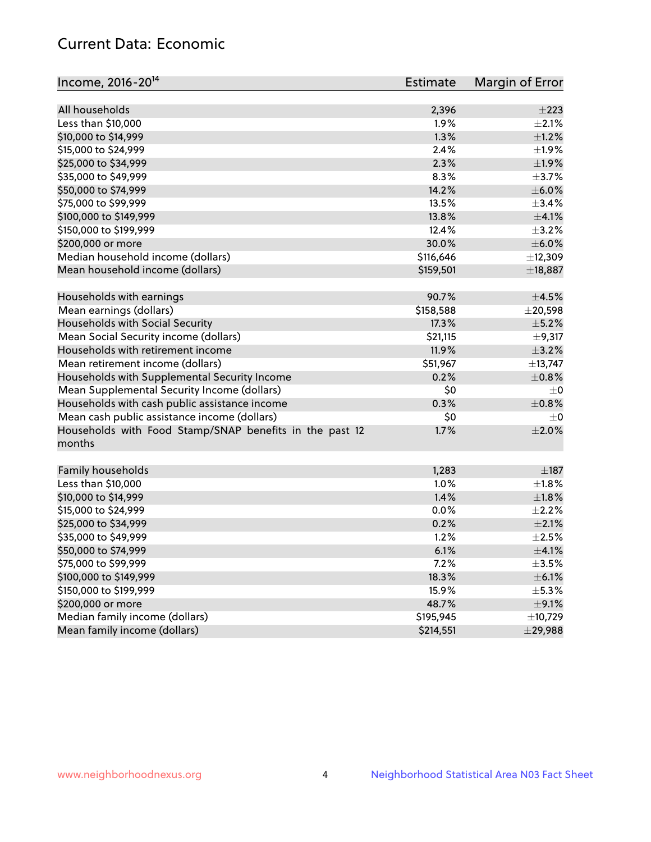# Current Data: Economic

| Income, 2016-20 <sup>14</sup>                                     | <b>Estimate</b> | Margin of Error |
|-------------------------------------------------------------------|-----------------|-----------------|
| All households                                                    | 2,396           | $\pm 223$       |
| Less than \$10,000                                                | 1.9%            | $\pm 2.1\%$     |
| \$10,000 to \$14,999                                              | 1.3%            | ±1.2%           |
| \$15,000 to \$24,999                                              | 2.4%            | ±1.9%           |
| \$25,000 to \$34,999                                              | 2.3%            | $\pm 1.9\%$     |
|                                                                   |                 |                 |
| \$35,000 to \$49,999                                              | 8.3%            | $\pm$ 3.7%      |
| \$50,000 to \$74,999                                              | 14.2%           | $\pm$ 6.0%      |
| \$75,000 to \$99,999                                              | 13.5%           | $\pm$ 3.4%      |
| \$100,000 to \$149,999                                            | 13.8%           | $\pm 4.1\%$     |
| \$150,000 to \$199,999                                            | 12.4%           | $\pm$ 3.2%      |
| \$200,000 or more                                                 | 30.0%           | $\pm$ 6.0%      |
| Median household income (dollars)                                 | \$116,646       | ±12,309         |
| Mean household income (dollars)                                   | \$159,501       | ±18,887         |
| Households with earnings                                          | 90.7%           | $\pm 4.5\%$     |
| Mean earnings (dollars)                                           | \$158,588       | $\pm 20,598$    |
| Households with Social Security                                   | 17.3%           | $\pm$ 5.2%      |
| Mean Social Security income (dollars)                             | \$21,115        | $\pm$ 9,317     |
| Households with retirement income                                 | 11.9%           | $\pm$ 3.2%      |
| Mean retirement income (dollars)                                  | \$51,967        | ±13,747         |
| Households with Supplemental Security Income                      | 0.2%            | $\pm$ 0.8%      |
| Mean Supplemental Security Income (dollars)                       | \$0             | $\pm$ 0         |
| Households with cash public assistance income                     | 0.3%            | $\pm$ 0.8%      |
| Mean cash public assistance income (dollars)                      | \$0             | $\pm 0$         |
| Households with Food Stamp/SNAP benefits in the past 12<br>months | 1.7%            | $\pm 2.0\%$     |
| Family households                                                 | 1,283           | $\pm$ 187       |
| Less than \$10,000                                                | 1.0%            | $\pm 1.8\%$     |
| \$10,000 to \$14,999                                              | 1.4%            | $\pm1.8\%$      |
| \$15,000 to \$24,999                                              | 0.0%            | $\pm 2.2\%$     |
| \$25,000 to \$34,999                                              | 0.2%            | $\pm 2.1\%$     |
| \$35,000 to \$49,999                                              | 1.2%            | $\pm 2.5\%$     |
| \$50,000 to \$74,999                                              | 6.1%            | $\pm$ 4.1%      |
| \$75,000 to \$99,999                                              | 7.2%            | $\pm 3.5\%$     |
| \$100,000 to \$149,999                                            | 18.3%           | $\pm$ 6.1%      |
| \$150,000 to \$199,999                                            | 15.9%           | $\pm$ 5.3%      |
|                                                                   |                 |                 |
| \$200,000 or more                                                 | 48.7%           | $\pm$ 9.1%      |
| Median family income (dollars)<br>Mean family income (dollars)    | \$195,945       | ±10,729         |
|                                                                   | \$214,551       | $±$ 29,988      |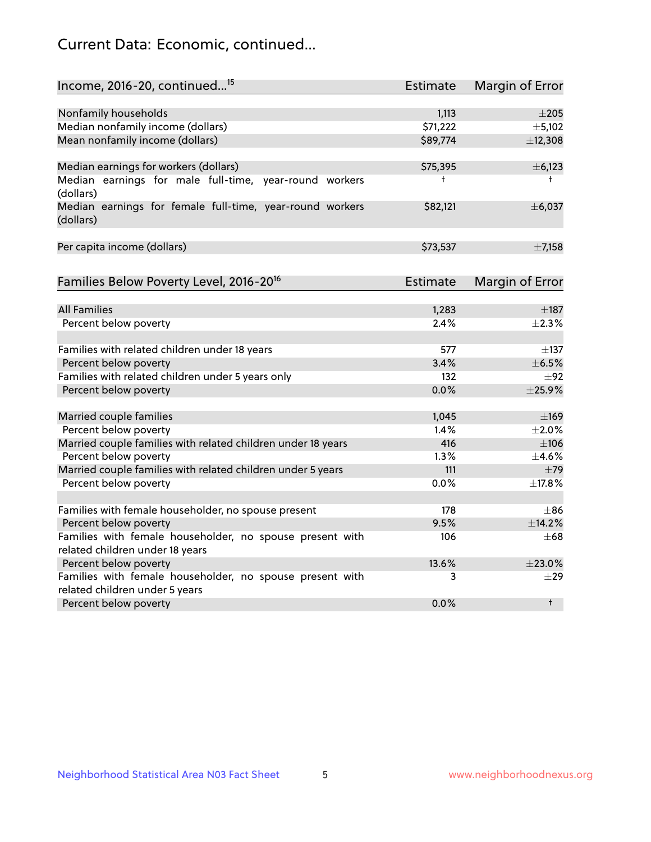# Current Data: Economic, continued...

| Income, 2016-20, continued <sup>15</sup>                              | <b>Estimate</b> | <b>Margin of Error</b> |
|-----------------------------------------------------------------------|-----------------|------------------------|
|                                                                       |                 |                        |
| Nonfamily households                                                  | 1,113           | $\pm 205$              |
| Median nonfamily income (dollars)                                     | \$71,222        | ±5,102                 |
| Mean nonfamily income (dollars)                                       | \$89,774        | ±12,308                |
| Median earnings for workers (dollars)                                 | \$75,395        | ±6,123                 |
| Median earnings for male full-time, year-round workers<br>(dollars)   | $\ddagger$      | $^+$                   |
| Median earnings for female full-time, year-round workers<br>(dollars) | \$82,121        | ±6,037                 |
| Per capita income (dollars)                                           | \$73,537        | $\pm$ 7,158            |
| Families Below Poverty Level, 2016-20 <sup>16</sup>                   | Estimate        | Margin of Error        |
|                                                                       |                 |                        |
| <b>All Families</b>                                                   | 1,283           | $\pm$ 187              |
| Percent below poverty                                                 | 2.4%            | $\pm 2.3\%$            |
| Families with related children under 18 years                         | 577             | $\pm$ 137              |
| Percent below poverty                                                 | 3.4%            | $\pm$ 6.5%             |
| Families with related children under 5 years only                     | 132             | $\pm 92$               |
| Percent below poverty                                                 | 0.0%            | ±25.9%                 |
| Married couple families                                               | 1,045           | $\pm$ 169              |
| Percent below poverty                                                 | 1.4%            | $\pm 2.0\%$            |
| Married couple families with related children under 18 years          | 416             | $\pm 106$              |
| Percent below poverty                                                 | 1.3%            | $\pm$ 4.6%             |
| Married couple families with related children under 5 years           | 111             | $\pm$ 79               |
| Percent below poverty                                                 | 0.0%            | ±17.8%                 |
|                                                                       |                 |                        |
| Families with female householder, no spouse present                   | 178             | $\pm$ 86               |
| Percent below poverty                                                 | 9.5%            | ±14.2%                 |
| Families with female householder, no spouse present with              | 106             | $\pm 68$               |
| related children under 18 years                                       |                 |                        |
| Percent below poverty                                                 | 13.6%           | ±23.0%                 |
| Families with female householder, no spouse present with              | 3               | $\pm 29$               |
| related children under 5 years                                        |                 |                        |
| Percent below poverty                                                 | 0.0%            | $\ddagger$             |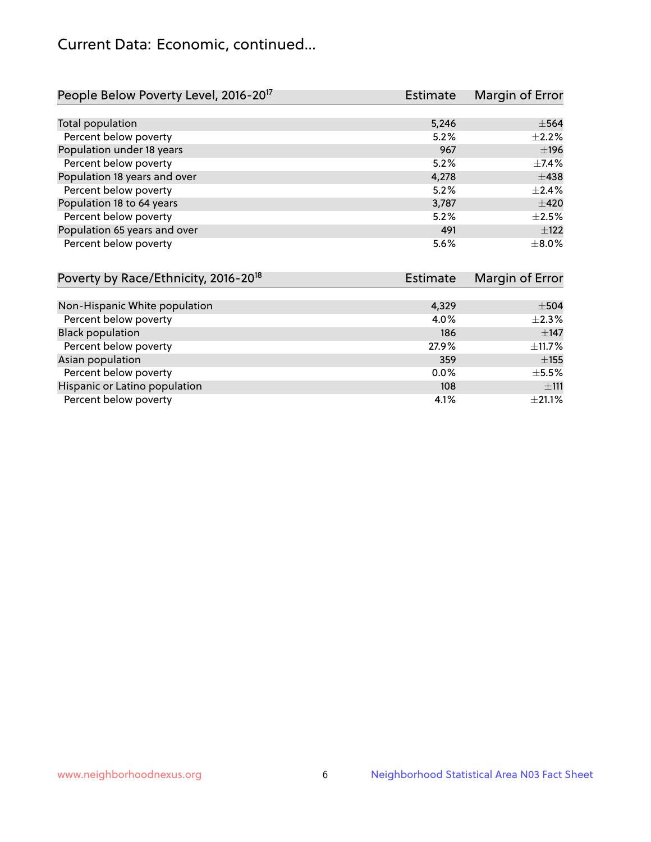# Current Data: Economic, continued...

| People Below Poverty Level, 2016-20 <sup>17</sup> | <b>Estimate</b> | Margin of Error |
|---------------------------------------------------|-----------------|-----------------|
|                                                   |                 |                 |
| Total population                                  | 5,246           | $\pm$ 564       |
| Percent below poverty                             | 5.2%            | $+2.2%$         |
| Population under 18 years                         | 967             | ±196            |
| Percent below poverty                             | 5.2%            | $\pm$ 7.4%      |
| Population 18 years and over                      | 4,278           | $\pm$ 438       |
| Percent below poverty                             | 5.2%            | $\pm 2.4\%$     |
| Population 18 to 64 years                         | 3,787           | $\pm 420$       |
| Percent below poverty                             | 5.2%            | $\pm 2.5\%$     |
| Population 65 years and over                      | 491             | $\pm$ 122       |
| Percent below poverty                             | 5.6%            | $\pm$ 8.0%      |

| Poverty by Race/Ethnicity, 2016-20 <sup>18</sup><br><b>Estimate</b> |         | Margin of Error |  |
|---------------------------------------------------------------------|---------|-----------------|--|
|                                                                     |         |                 |  |
| Non-Hispanic White population                                       | 4,329   | $\pm$ 504       |  |
| Percent below poverty                                               | 4.0%    | $\pm 2.3\%$     |  |
| <b>Black population</b>                                             | 186     | $\pm$ 147       |  |
| Percent below poverty                                               | 27.9%   | ±11.7%          |  |
| Asian population                                                    | 359     | $\pm$ 155       |  |
| Percent below poverty                                               | $0.0\%$ | $\pm$ 5.5%      |  |
| Hispanic or Latino population                                       | 108     | ±111            |  |
| Percent below poverty                                               | 4.1%    | $\pm 21.1\%$    |  |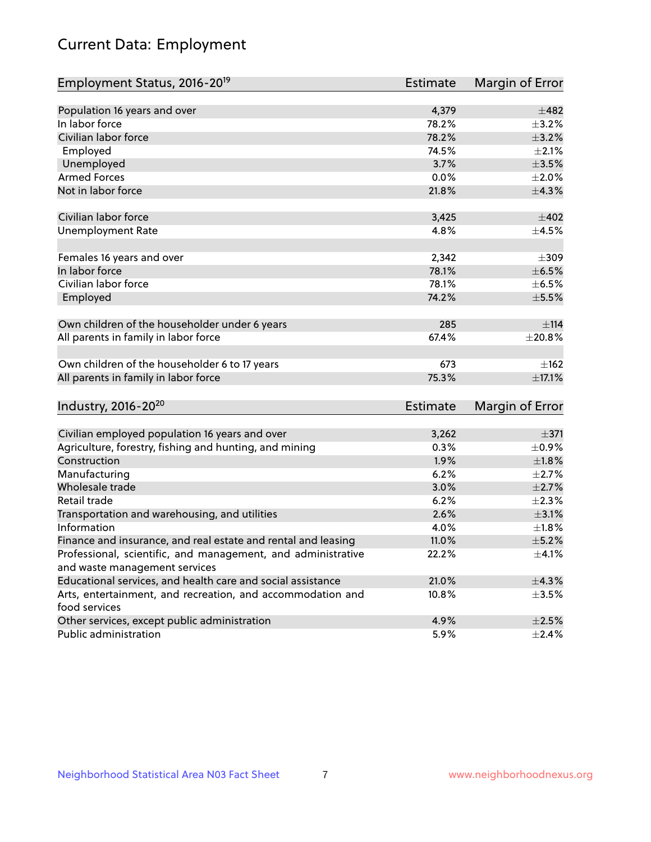# Current Data: Employment

| Employment Status, 2016-20 <sup>19</sup>                      | Estimate        | Margin of Error |
|---------------------------------------------------------------|-----------------|-----------------|
|                                                               |                 |                 |
| Population 16 years and over                                  | 4,379           | ±482            |
| In labor force                                                | 78.2%           | $\pm$ 3.2%      |
| Civilian labor force                                          | 78.2%           | $\pm$ 3.2%      |
| Employed                                                      | 74.5%           | $\pm 2.1\%$     |
| Unemployed                                                    | 3.7%            | $\pm 3.5\%$     |
| <b>Armed Forces</b>                                           | 0.0%            | $\pm 2.0\%$     |
| Not in labor force                                            | 21.8%           | ±4.3%           |
| Civilian labor force                                          | 3,425           | $\pm 402$       |
| <b>Unemployment Rate</b>                                      | 4.8%            | $\pm$ 4.5%      |
|                                                               |                 |                 |
| Females 16 years and over                                     | 2,342           | $\pm 309$       |
| In labor force                                                | 78.1%           | $\pm$ 6.5%      |
| Civilian labor force                                          | 78.1%           | $\pm$ 6.5%      |
| Employed                                                      | 74.2%           | $\pm$ 5.5%      |
| Own children of the householder under 6 years                 | 285             | ±114            |
|                                                               | 67.4%           |                 |
| All parents in family in labor force                          |                 | ±20.8%          |
| Own children of the householder 6 to 17 years                 | 673             | $\pm$ 162       |
| All parents in family in labor force                          | 75.3%           | $\pm$ 17.1%     |
|                                                               |                 |                 |
| Industry, 2016-20 <sup>20</sup>                               | <b>Estimate</b> | Margin of Error |
| Civilian employed population 16 years and over                | 3,262           | $\pm$ 371       |
| Agriculture, forestry, fishing and hunting, and mining        | 0.3%            | $\pm$ 0.9%      |
| Construction                                                  | 1.9%            | ±1.8%           |
| Manufacturing                                                 | 6.2%            | $\pm 2.7\%$     |
| Wholesale trade                                               | 3.0%            | $\pm 2.7\%$     |
| Retail trade                                                  | 6.2%            | $\pm 2.3\%$     |
| Transportation and warehousing, and utilities                 | 2.6%            | $\pm$ 3.1%      |
| Information                                                   | 4.0%            | ±1.8%           |
| Finance and insurance, and real estate and rental and leasing | 11.0%           | $\pm$ 5.2%      |
| Professional, scientific, and management, and administrative  | 22.2%           | $\pm$ 4.1%      |
| and waste management services                                 |                 |                 |
| Educational services, and health care and social assistance   | 21.0%           | ±4.3%           |
| Arts, entertainment, and recreation, and accommodation and    | 10.8%           | $\pm$ 3.5%      |
| food services                                                 |                 |                 |
| Other services, except public administration                  | 4.9%            | $\pm 2.5\%$     |
| Public administration                                         | 5.9%            | $\pm$ 2.4%      |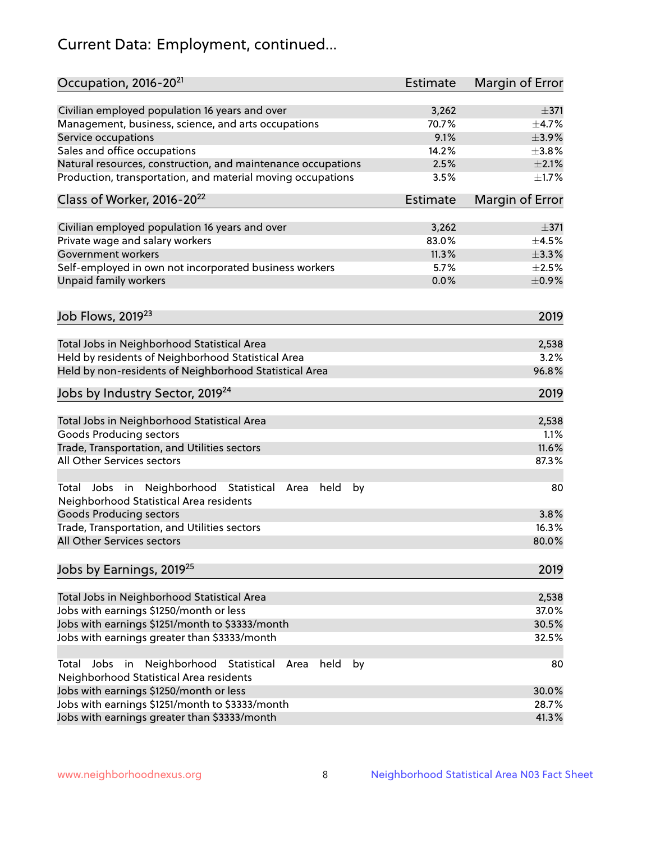# Current Data: Employment, continued...

| Occupation, 2016-20 <sup>21</sup>                                                                       | <b>Estimate</b> | Margin of Error |
|---------------------------------------------------------------------------------------------------------|-----------------|-----------------|
| Civilian employed population 16 years and over                                                          | 3,262           | $\pm$ 371       |
| Management, business, science, and arts occupations                                                     | 70.7%           | $\pm$ 4.7%      |
| Service occupations                                                                                     | 9.1%            | $\pm$ 3.9%      |
| Sales and office occupations                                                                            | 14.2%           | ±3.8%           |
| Natural resources, construction, and maintenance occupations                                            | 2.5%            | $\pm 2.1\%$     |
| Production, transportation, and material moving occupations                                             | 3.5%            | $\pm 1.7\%$     |
| Class of Worker, 2016-20 <sup>22</sup>                                                                  | Estimate        | Margin of Error |
| Civilian employed population 16 years and over                                                          | 3,262           | $\pm$ 371       |
| Private wage and salary workers                                                                         | 83.0%           | $\pm$ 4.5%      |
| Government workers                                                                                      | 11.3%           | $\pm$ 3.3%      |
| Self-employed in own not incorporated business workers                                                  | 5.7%            | $\pm 2.5\%$     |
| Unpaid family workers                                                                                   | 0.0%            | $\pm$ 0.9%      |
|                                                                                                         |                 |                 |
| Job Flows, 2019 <sup>23</sup>                                                                           |                 | 2019            |
| Total Jobs in Neighborhood Statistical Area                                                             |                 | 2,538           |
| Held by residents of Neighborhood Statistical Area                                                      |                 | 3.2%            |
| Held by non-residents of Neighborhood Statistical Area                                                  |                 | 96.8%           |
| Jobs by Industry Sector, 2019 <sup>24</sup>                                                             |                 | 2019            |
| Total Jobs in Neighborhood Statistical Area                                                             |                 | 2,538           |
| <b>Goods Producing sectors</b>                                                                          |                 | 1.1%            |
| Trade, Transportation, and Utilities sectors                                                            |                 | 11.6%           |
| All Other Services sectors                                                                              |                 | 87.3%           |
| Total Jobs in Neighborhood Statistical<br>held<br>by<br>Area<br>Neighborhood Statistical Area residents |                 | 80              |
| <b>Goods Producing sectors</b>                                                                          |                 | 3.8%            |
| Trade, Transportation, and Utilities sectors                                                            |                 | 16.3%           |
| All Other Services sectors                                                                              |                 | 80.0%           |
| Jobs by Earnings, 2019 <sup>25</sup>                                                                    |                 | 2019            |
| Total Jobs in Neighborhood Statistical Area                                                             |                 | 2,538           |
| Jobs with earnings \$1250/month or less                                                                 |                 | 37.0%           |
| Jobs with earnings \$1251/month to \$3333/month                                                         |                 | 30.5%           |
| Jobs with earnings greater than \$3333/month                                                            |                 | 32.5%           |
| Neighborhood Statistical<br>Jobs<br>in<br>held<br>by<br>Total<br>Area                                   |                 | 80              |
| Neighborhood Statistical Area residents                                                                 |                 |                 |
| Jobs with earnings \$1250/month or less                                                                 |                 | 30.0%           |
| Jobs with earnings \$1251/month to \$3333/month                                                         |                 | 28.7%           |
| Jobs with earnings greater than \$3333/month                                                            |                 | 41.3%           |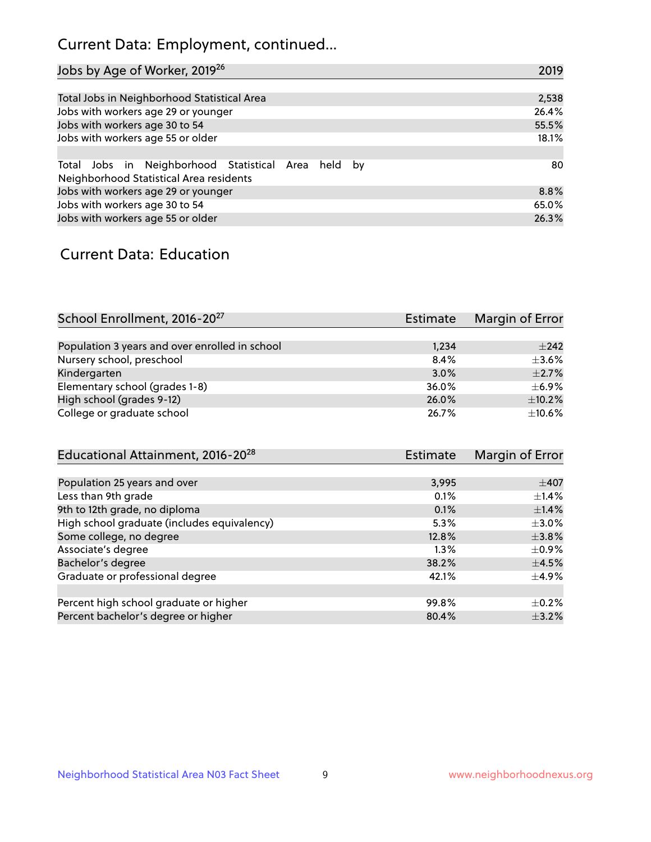# Current Data: Employment, continued...

| Jobs by Age of Worker, 2019 <sup>26</sup>                                                      | 2019  |
|------------------------------------------------------------------------------------------------|-------|
|                                                                                                |       |
| Total Jobs in Neighborhood Statistical Area                                                    | 2,538 |
| Jobs with workers age 29 or younger                                                            | 26.4% |
| Jobs with workers age 30 to 54                                                                 | 55.5% |
| Jobs with workers age 55 or older                                                              | 18.1% |
|                                                                                                |       |
| Total Jobs in Neighborhood Statistical Area held by<br>Neighborhood Statistical Area residents | 80    |
| Jobs with workers age 29 or younger                                                            | 8.8%  |
| Jobs with workers age 30 to 54                                                                 | 65.0% |
| Jobs with workers age 55 or older                                                              | 26.3% |

### Current Data: Education

| School Enrollment, 2016-20 <sup>27</sup>       | <b>Estimate</b> | Margin of Error |
|------------------------------------------------|-----------------|-----------------|
|                                                |                 |                 |
| Population 3 years and over enrolled in school | 1,234           | $\pm 242$       |
| Nursery school, preschool                      | 8.4%            | $\pm$ 3.6%      |
| Kindergarten                                   | 3.0%            | $\pm$ 2.7%      |
| Elementary school (grades 1-8)                 | 36.0%           | $\pm$ 6.9%      |
| High school (grades 9-12)                      | 26.0%           | $\pm$ 10.2%     |
| College or graduate school                     | 26.7%           | $\pm$ 10.6%     |

| Educational Attainment, 2016-20 <sup>28</sup> | <b>Estimate</b> | Margin of Error |
|-----------------------------------------------|-----------------|-----------------|
|                                               |                 |                 |
| Population 25 years and over                  | 3,995           | $\pm$ 407       |
| Less than 9th grade                           | 0.1%            | $\pm$ 1.4%      |
| 9th to 12th grade, no diploma                 | 0.1%            | $\pm$ 1.4%      |
| High school graduate (includes equivalency)   | 5.3%            | $\pm$ 3.0%      |
| Some college, no degree                       | 12.8%           | $\pm$ 3.8%      |
| Associate's degree                            | 1.3%            | $\pm$ 0.9%      |
| Bachelor's degree                             | 38.2%           | $\pm$ 4.5%      |
| Graduate or professional degree               | 42.1%           | $\pm$ 4.9%      |
|                                               |                 |                 |
| Percent high school graduate or higher        | 99.8%           | $+0.2%$         |
| Percent bachelor's degree or higher           | 80.4%           | $\pm$ 3.2%      |
|                                               |                 |                 |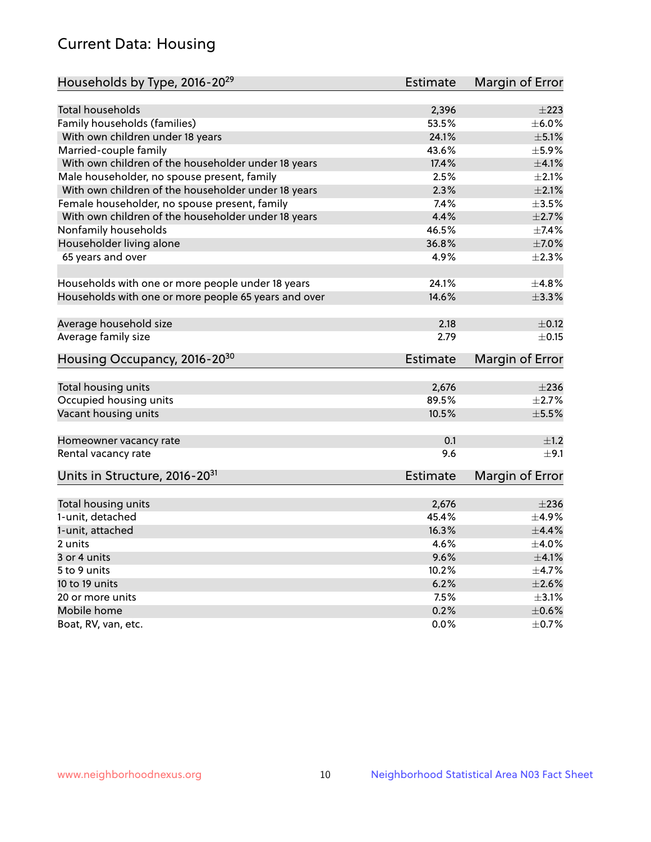# Current Data: Housing

| Households by Type, 2016-20 <sup>29</sup>            | <b>Estimate</b> | Margin of Error |
|------------------------------------------------------|-----------------|-----------------|
|                                                      |                 |                 |
| Total households                                     | 2,396           | $\pm 223$       |
| Family households (families)                         | 53.5%           | $\pm$ 6.0%      |
| With own children under 18 years                     | 24.1%           | $\pm$ 5.1%      |
| Married-couple family                                | 43.6%           | $\pm$ 5.9%      |
| With own children of the householder under 18 years  | 17.4%           | $\pm 4.1\%$     |
| Male householder, no spouse present, family          | 2.5%            | $\pm 2.1\%$     |
| With own children of the householder under 18 years  | 2.3%            | $\pm 2.1\%$     |
| Female householder, no spouse present, family        | 7.4%            | $\pm 3.5\%$     |
| With own children of the householder under 18 years  | 4.4%            | $\pm 2.7\%$     |
| Nonfamily households                                 | 46.5%           | $\pm$ 7.4%      |
| Householder living alone                             | 36.8%           | $\pm$ 7.0%      |
| 65 years and over                                    | 4.9%            | $\pm 2.3\%$     |
|                                                      |                 |                 |
| Households with one or more people under 18 years    | 24.1%           | ±4.8%           |
| Households with one or more people 65 years and over | 14.6%           | $\pm$ 3.3%      |
|                                                      |                 |                 |
| Average household size                               | 2.18            | $\pm$ 0.12      |
| Average family size                                  | 2.79            | $\pm$ 0.15      |
| Housing Occupancy, 2016-20 <sup>30</sup>             | <b>Estimate</b> | Margin of Error |
|                                                      |                 |                 |
| Total housing units                                  | 2,676           | $\pm 236$       |
| Occupied housing units                               | 89.5%           | $\pm 2.7\%$     |
| Vacant housing units                                 | 10.5%           | $\pm$ 5.5%      |
| Homeowner vacancy rate                               | 0.1             | ±1.2            |
| Rental vacancy rate                                  | 9.6             | ±9.1            |
| Units in Structure, 2016-20 <sup>31</sup>            | Estimate        | Margin of Error |
|                                                      |                 |                 |
| Total housing units                                  | 2,676           | $\pm 236$       |
| 1-unit, detached                                     | 45.4%           | $\pm$ 4.9%      |
| 1-unit, attached                                     | 16.3%           | $\pm$ 4.4%      |
| 2 units                                              | 4.6%            | $\pm$ 4.0%      |
| 3 or 4 units                                         | 9.6%            | $\pm 4.1\%$     |
| 5 to 9 units                                         | 10.2%           | ±4.7%           |
| 10 to 19 units                                       | 6.2%            | $\pm 2.6\%$     |
| 20 or more units                                     | 7.5%            | $\pm$ 3.1%      |
| Mobile home                                          | 0.2%            | $\pm$ 0.6%      |
| Boat, RV, van, etc.                                  | 0.0%            | $\pm$ 0.7%      |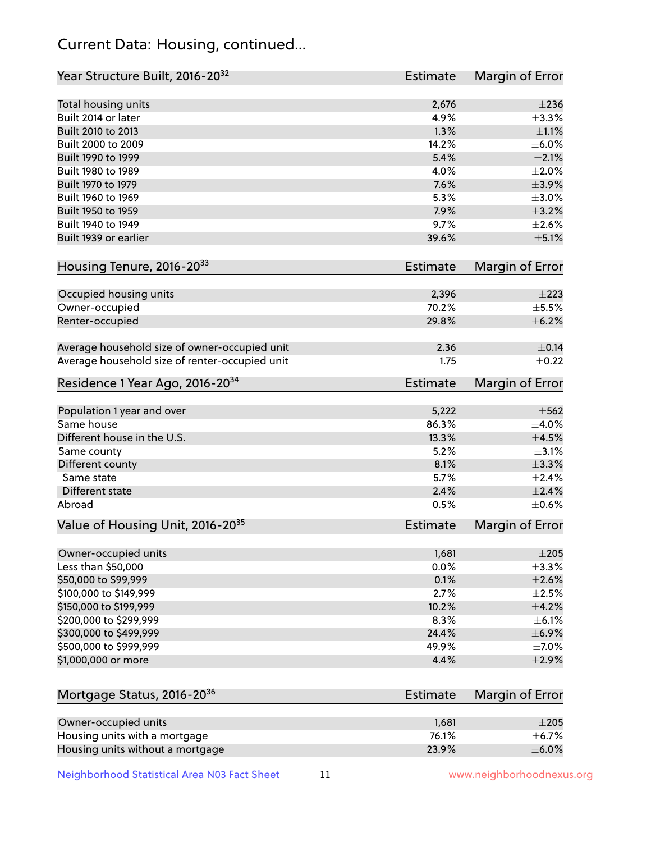# Current Data: Housing, continued...

| Year Structure Built, 2016-20 <sup>32</sup>    | <b>Estimate</b> | Margin of Error |
|------------------------------------------------|-----------------|-----------------|
| Total housing units                            | 2,676           | $\pm 236$       |
| Built 2014 or later                            | 4.9%            | ±3.3%           |
| Built 2010 to 2013                             | 1.3%            | $\pm 1.1\%$     |
| Built 2000 to 2009                             | 14.2%           | $\pm$ 6.0%      |
| Built 1990 to 1999                             | 5.4%            | $\pm 2.1\%$     |
| Built 1980 to 1989                             | 4.0%            | ±2.0%           |
| Built 1970 to 1979                             | 7.6%            | $\pm$ 3.9%      |
| Built 1960 to 1969                             | 5.3%            | $\pm 3.0\%$     |
| Built 1950 to 1959                             | 7.9%            | $\pm$ 3.2%      |
| Built 1940 to 1949                             | 9.7%            | $\pm 2.6\%$     |
| Built 1939 or earlier                          | 39.6%           | $\pm$ 5.1%      |
| Housing Tenure, 2016-2033                      | <b>Estimate</b> | Margin of Error |
| Occupied housing units                         | 2,396           | $\pm 223$       |
| Owner-occupied                                 | 70.2%           | $\pm$ 5.5%      |
| Renter-occupied                                | 29.8%           | $\pm$ 6.2%      |
|                                                |                 |                 |
| Average household size of owner-occupied unit  | 2.36            | $\pm$ 0.14      |
| Average household size of renter-occupied unit | 1.75            | $\pm$ 0.22      |
| Residence 1 Year Ago, 2016-20 <sup>34</sup>    | <b>Estimate</b> | Margin of Error |
| Population 1 year and over                     | 5,222           | $\pm$ 562       |
| Same house                                     | 86.3%           | $\pm$ 4.0%      |
| Different house in the U.S.                    | 13.3%           | $\pm 4.5\%$     |
| Same county                                    | 5.2%            | $\pm$ 3.1%      |
| Different county                               | 8.1%            | $\pm$ 3.3%      |
| Same state                                     | 5.7%            | $\pm 2.4\%$     |
| Different state                                | 2.4%            | $\pm 2.4\%$     |
| Abroad                                         | 0.5%            | $\pm$ 0.6%      |
| Value of Housing Unit, 2016-20 <sup>35</sup>   | <b>Estimate</b> | Margin of Error |
| Owner-occupied units                           | 1,681           | $\pm 205$       |
| Less than \$50,000                             | 0.0%            | ±3.3%           |
| \$50,000 to \$99,999                           | 0.1%            | $\pm 2.6\%$     |
| \$100,000 to \$149,999                         | 2.7%            | $\pm 2.5\%$     |
| \$150,000 to \$199,999                         | 10.2%           | $\pm$ 4.2%      |
| \$200,000 to \$299,999                         | 8.3%            | $\pm$ 6.1%      |
| \$300,000 to \$499,999                         | 24.4%           | $\pm$ 6.9%      |
| \$500,000 to \$999,999                         | 49.9%           | $\pm$ 7.0%      |
| \$1,000,000 or more                            | 4.4%            | $\pm 2.9\%$     |
|                                                |                 |                 |
| Mortgage Status, 2016-20 <sup>36</sup>         | <b>Estimate</b> | Margin of Error |
| Owner-occupied units                           | 1,681           | $\pm 205$       |
| Housing units with a mortgage                  | 76.1%           | $\pm$ 6.7%      |
| Housing units without a mortgage               | 23.9%           | $\pm$ 6.0%      |

Neighborhood Statistical Area N03 Fact Sheet 11 11 www.neighborhoodnexus.org

Housing units without a mortgage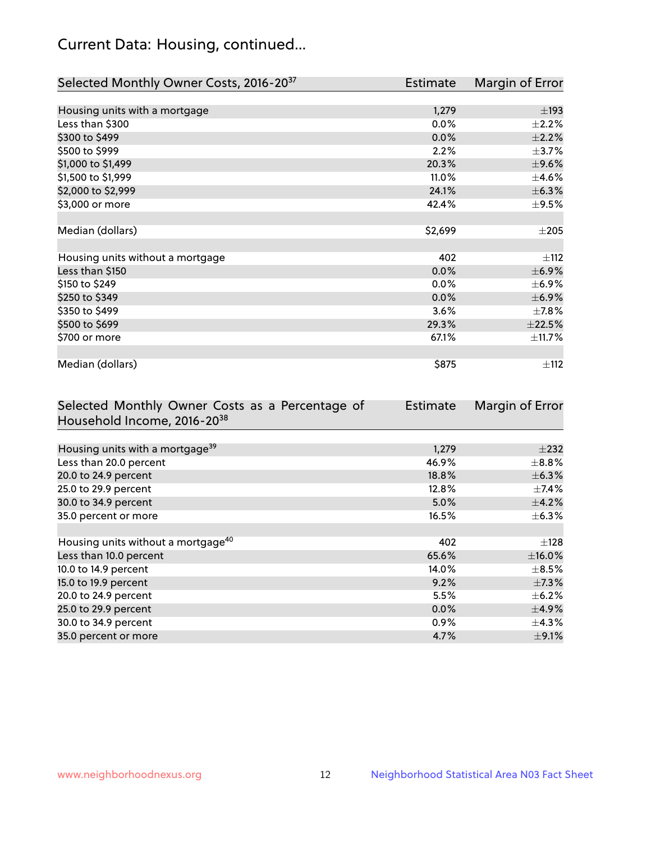# Current Data: Housing, continued...

| Selected Monthly Owner Costs, 2016-20 <sup>37</sup> | Estimate | Margin of Error |
|-----------------------------------------------------|----------|-----------------|
|                                                     |          |                 |
| Housing units with a mortgage                       | 1,279    | $\pm$ 193       |
| Less than \$300                                     | 0.0%     | $\pm 2.2\%$     |
| \$300 to \$499                                      | $0.0\%$  | $\pm 2.2\%$     |
| \$500 to \$999                                      | 2.2%     | $\pm$ 3.7%      |
| \$1,000 to \$1,499                                  | 20.3%    | $\pm$ 9.6%      |
| \$1,500 to \$1,999                                  | 11.0%    | $\pm 4.6\%$     |
| \$2,000 to \$2,999                                  | 24.1%    | ±6.3%           |
| \$3,000 or more                                     | 42.4%    | $\pm$ 9.5%      |
|                                                     |          |                 |
| Median (dollars)                                    | \$2,699  | $\pm 205$       |
|                                                     |          |                 |
| Housing units without a mortgage                    | 402      | $\pm$ 112       |
| Less than \$150                                     | 0.0%     | $\pm$ 6.9%      |
| \$150 to \$249                                      | 0.0%     | $\pm$ 6.9%      |
| \$250 to \$349                                      | 0.0%     | $\pm$ 6.9%      |
| \$350 to \$499                                      | 3.6%     | $\pm$ 7.8%      |
| \$500 to \$699                                      | 29.3%    | $\pm 22.5\%$    |
| \$700 or more                                       | 67.1%    | ±11.7%          |
|                                                     |          |                 |
| Median (dollars)                                    | \$875    | ±112            |

| Selected Monthly Owner Costs as a Percentage of | Estimate | Margin of Error |
|-------------------------------------------------|----------|-----------------|
| Household Income, 2016-20 <sup>38</sup>         |          |                 |
|                                                 |          |                 |
| Housing units with a mortgage <sup>39</sup>     | 1,279    | $\pm 232$       |
| Less than 20.0 percent                          | 46.9%    | $\pm$ 8.8%      |
| 20.0 to 24.9 percent                            | 18.8%    | $\pm$ 6.3%      |
| 25.0 to 29.9 percent                            | 12.8%    | $\pm$ 7.4%      |
| 30.0 to 34.9 percent                            | 5.0%     | $\pm$ 4.2%      |
| 35.0 percent or more                            | 16.5%    | $\pm$ 6.3%      |
|                                                 |          |                 |
| Housing units without a mortgage <sup>40</sup>  | 402      | $\pm$ 128       |
| Less than 10.0 percent                          | 65.6%    | $\pm$ 16.0%     |
| 10.0 to 14.9 percent                            | 14.0%    | $\pm$ 8.5%      |
| 15.0 to 19.9 percent                            | 9.2%     | $\pm$ 7.3%      |
| 20.0 to 24.9 percent                            | 5.5%     | $\pm$ 6.2%      |
| 25.0 to 29.9 percent                            | 0.0%     | $\pm$ 4.9%      |
| 30.0 to 34.9 percent                            | $0.9\%$  | $\pm$ 4.3%      |
| 35.0 percent or more                            | 4.7%     | $\pm$ 9.1%      |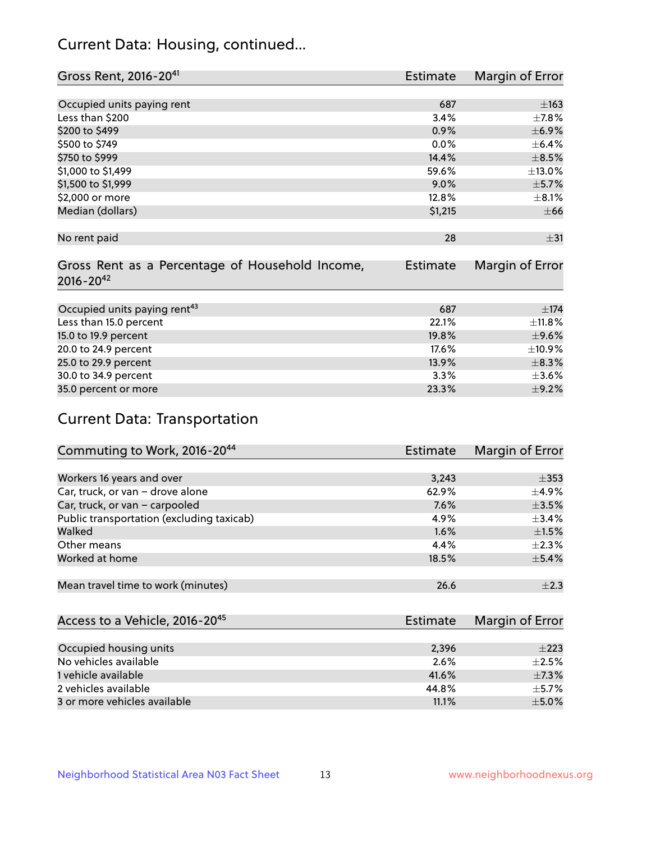# Current Data: Housing, continued...

| Gross Rent, 2016-20 <sup>41</sup>                                   | <b>Estimate</b> | Margin of Error |
|---------------------------------------------------------------------|-----------------|-----------------|
|                                                                     |                 |                 |
| Occupied units paying rent                                          | 687             | $\pm$ 163       |
| Less than \$200                                                     | 3.4%            | ±7.8%           |
| \$200 to \$499                                                      | 0.9%            | $\pm$ 6.9%      |
| \$500 to \$749                                                      | $0.0\%$         | $\pm$ 6.4%      |
| \$750 to \$999                                                      | 14.4%           | $\pm$ 8.5%      |
| \$1,000 to \$1,499                                                  | 59.6%           | ±13.0%          |
| \$1,500 to \$1,999                                                  | $9.0\%$         | $\pm$ 5.7%      |
| \$2,000 or more                                                     | 12.8%           | $\pm$ 8.1%      |
| Median (dollars)                                                    | \$1,215         | $\pm 66$        |
|                                                                     |                 |                 |
| No rent paid                                                        | 28              | $\pm$ 31        |
| Gross Rent as a Percentage of Household Income,<br>$2016 - 20^{42}$ | <b>Estimate</b> | Margin of Error |
|                                                                     |                 |                 |
| Occupied units paying rent <sup>43</sup>                            | 687             | $\pm 174$       |
| Less than 15.0 percent                                              | 22.1%           | ±11.8%          |
| 15.0 to 19.9 percent                                                | 19.8%           | $\pm$ 9.6%      |
| 20.0 to 24.9 percent                                                | 17.6%           | ±10.9%          |
| 25.0 to 29.9 percent                                                | 13.9%           | $\pm$ 8.3%      |
| 30.0 to 34.9 percent                                                | 3.3%            | $\pm 3.6\%$     |
| 35.0 percent or more                                                | 23.3%           | $\pm$ 9.2%      |

# Current Data: Transportation

| Commuting to Work, 2016-20 <sup>44</sup>  | <b>Estimate</b> | Margin of Error |
|-------------------------------------------|-----------------|-----------------|
|                                           |                 |                 |
| Workers 16 years and over                 | 3,243           | $\pm$ 353       |
| Car, truck, or van - drove alone          | 62.9%           | $\pm$ 4.9%      |
| Car, truck, or van - carpooled            | 7.6%            | $\pm 3.5\%$     |
| Public transportation (excluding taxicab) | 4.9%            | $\pm$ 3.4%      |
| Walked                                    | $1.6\%$         | $\pm 1.5\%$     |
| Other means                               | 4.4%            | $\pm 2.3\%$     |
| Worked at home                            | 18.5%           | $\pm$ 5.4%      |
|                                           |                 |                 |
| Mean travel time to work (minutes)        | 26.6            | $\pm 2.3$       |

| Access to a Vehicle, 2016-20 <sup>45</sup> | Estimate | <b>Margin of Error</b> |
|--------------------------------------------|----------|------------------------|
|                                            |          |                        |
| Occupied housing units                     | 2,396    | $+223$                 |
| No vehicles available                      | 2.6%     | $+2.5%$                |
| 1 vehicle available                        | 41.6%    | $\pm$ 7.3%             |
| 2 vehicles available                       | 44.8%    | $+5.7%$                |
| 3 or more vehicles available               | 11.1%    | $+5.0%$                |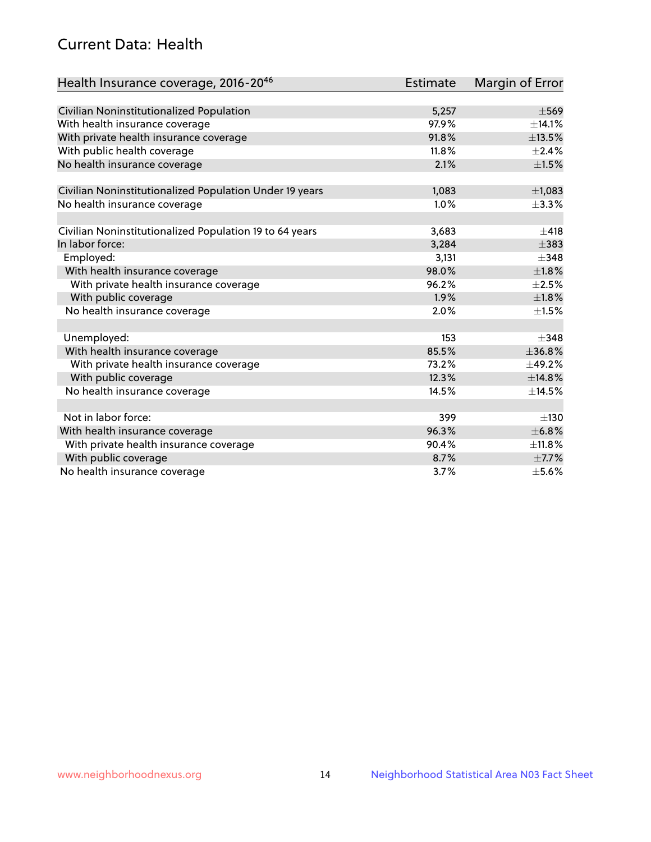# Current Data: Health

| Health Insurance coverage, 2016-2046                    | <b>Estimate</b> | Margin of Error |
|---------------------------------------------------------|-----------------|-----------------|
|                                                         |                 |                 |
| Civilian Noninstitutionalized Population                | 5,257           | $\pm$ 569       |
| With health insurance coverage                          | 97.9%           | ±14.1%          |
| With private health insurance coverage                  | 91.8%           | ±13.5%          |
| With public health coverage                             | 11.8%           | $\pm 2.4\%$     |
| No health insurance coverage                            | 2.1%            | $\pm 1.5\%$     |
| Civilian Noninstitutionalized Population Under 19 years | 1,083           | $\pm$ 1,083     |
| No health insurance coverage                            | 1.0%            | ±3.3%           |
|                                                         |                 |                 |
| Civilian Noninstitutionalized Population 19 to 64 years | 3,683           | ±418            |
| In labor force:                                         | 3,284           | $\pm$ 383       |
| Employed:                                               | 3,131           | $\pm$ 348       |
| With health insurance coverage                          | 98.0%           | $\pm1.8\%$      |
| With private health insurance coverage                  | 96.2%           | $\pm 2.5\%$     |
| With public coverage                                    | 1.9%            | $\pm1.8\%$      |
| No health insurance coverage                            | 2.0%            | $\pm 1.5\%$     |
|                                                         |                 |                 |
| Unemployed:                                             | 153             | $+348$          |
| With health insurance coverage                          | 85.5%           | ±36.8%          |
| With private health insurance coverage                  | 73.2%           | ±49.2%          |
| With public coverage                                    | 12.3%           | ±14.8%          |
| No health insurance coverage                            | 14.5%           | ±14.5%          |
|                                                         |                 |                 |
| Not in labor force:                                     | 399             | ±130            |
| With health insurance coverage                          | 96.3%           | $\pm$ 6.8%      |
| With private health insurance coverage                  | 90.4%           | ±11.8%          |
| With public coverage                                    | 8.7%            | $\pm$ 7.7%      |
| No health insurance coverage                            | 3.7%            | $\pm$ 5.6%      |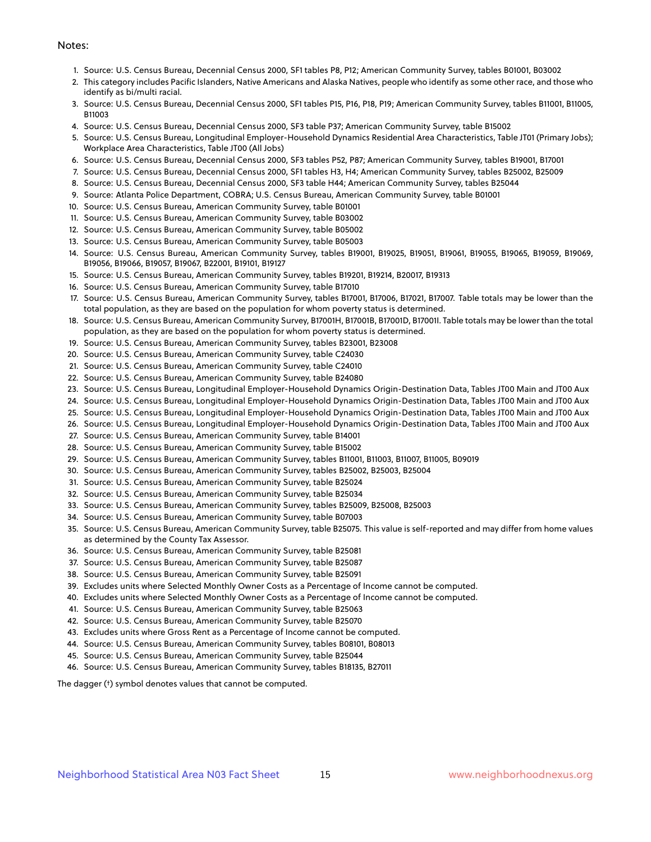#### Notes:

- 1. Source: U.S. Census Bureau, Decennial Census 2000, SF1 tables P8, P12; American Community Survey, tables B01001, B03002
- 2. This category includes Pacific Islanders, Native Americans and Alaska Natives, people who identify as some other race, and those who identify as bi/multi racial.
- 3. Source: U.S. Census Bureau, Decennial Census 2000, SF1 tables P15, P16, P18, P19; American Community Survey, tables B11001, B11005, B11003
- 4. Source: U.S. Census Bureau, Decennial Census 2000, SF3 table P37; American Community Survey, table B15002
- 5. Source: U.S. Census Bureau, Longitudinal Employer-Household Dynamics Residential Area Characteristics, Table JT01 (Primary Jobs); Workplace Area Characteristics, Table JT00 (All Jobs)
- 6. Source: U.S. Census Bureau, Decennial Census 2000, SF3 tables P52, P87; American Community Survey, tables B19001, B17001
- 7. Source: U.S. Census Bureau, Decennial Census 2000, SF1 tables H3, H4; American Community Survey, tables B25002, B25009
- 8. Source: U.S. Census Bureau, Decennial Census 2000, SF3 table H44; American Community Survey, tables B25044
- 9. Source: Atlanta Police Department, COBRA; U.S. Census Bureau, American Community Survey, table B01001
- 10. Source: U.S. Census Bureau, American Community Survey, table B01001
- 11. Source: U.S. Census Bureau, American Community Survey, table B03002
- 12. Source: U.S. Census Bureau, American Community Survey, table B05002
- 13. Source: U.S. Census Bureau, American Community Survey, table B05003
- 14. Source: U.S. Census Bureau, American Community Survey, tables B19001, B19025, B19051, B19061, B19055, B19065, B19059, B19069, B19056, B19066, B19057, B19067, B22001, B19101, B19127
- 15. Source: U.S. Census Bureau, American Community Survey, tables B19201, B19214, B20017, B19313
- 16. Source: U.S. Census Bureau, American Community Survey, table B17010
- 17. Source: U.S. Census Bureau, American Community Survey, tables B17001, B17006, B17021, B17007. Table totals may be lower than the total population, as they are based on the population for whom poverty status is determined.
- 18. Source: U.S. Census Bureau, American Community Survey, B17001H, B17001B, B17001D, B17001I. Table totals may be lower than the total population, as they are based on the population for whom poverty status is determined.
- 19. Source: U.S. Census Bureau, American Community Survey, tables B23001, B23008
- 20. Source: U.S. Census Bureau, American Community Survey, table C24030
- 21. Source: U.S. Census Bureau, American Community Survey, table C24010
- 22. Source: U.S. Census Bureau, American Community Survey, table B24080
- 23. Source: U.S. Census Bureau, Longitudinal Employer-Household Dynamics Origin-Destination Data, Tables JT00 Main and JT00 Aux
- 24. Source: U.S. Census Bureau, Longitudinal Employer-Household Dynamics Origin-Destination Data, Tables JT00 Main and JT00 Aux
- 25. Source: U.S. Census Bureau, Longitudinal Employer-Household Dynamics Origin-Destination Data, Tables JT00 Main and JT00 Aux
- 26. Source: U.S. Census Bureau, Longitudinal Employer-Household Dynamics Origin-Destination Data, Tables JT00 Main and JT00 Aux
- 27. Source: U.S. Census Bureau, American Community Survey, table B14001
- 28. Source: U.S. Census Bureau, American Community Survey, table B15002
- 29. Source: U.S. Census Bureau, American Community Survey, tables B11001, B11003, B11007, B11005, B09019
- 30. Source: U.S. Census Bureau, American Community Survey, tables B25002, B25003, B25004
- 31. Source: U.S. Census Bureau, American Community Survey, table B25024
- 32. Source: U.S. Census Bureau, American Community Survey, table B25034
- 33. Source: U.S. Census Bureau, American Community Survey, tables B25009, B25008, B25003
- 34. Source: U.S. Census Bureau, American Community Survey, table B07003
- 35. Source: U.S. Census Bureau, American Community Survey, table B25075. This value is self-reported and may differ from home values as determined by the County Tax Assessor.
- 36. Source: U.S. Census Bureau, American Community Survey, table B25081
- 37. Source: U.S. Census Bureau, American Community Survey, table B25087
- 38. Source: U.S. Census Bureau, American Community Survey, table B25091
- 39. Excludes units where Selected Monthly Owner Costs as a Percentage of Income cannot be computed.
- 40. Excludes units where Selected Monthly Owner Costs as a Percentage of Income cannot be computed.
- 41. Source: U.S. Census Bureau, American Community Survey, table B25063
- 42. Source: U.S. Census Bureau, American Community Survey, table B25070
- 43. Excludes units where Gross Rent as a Percentage of Income cannot be computed.
- 44. Source: U.S. Census Bureau, American Community Survey, tables B08101, B08013
- 45. Source: U.S. Census Bureau, American Community Survey, table B25044
- 46. Source: U.S. Census Bureau, American Community Survey, tables B18135, B27011

The dagger (†) symbol denotes values that cannot be computed.